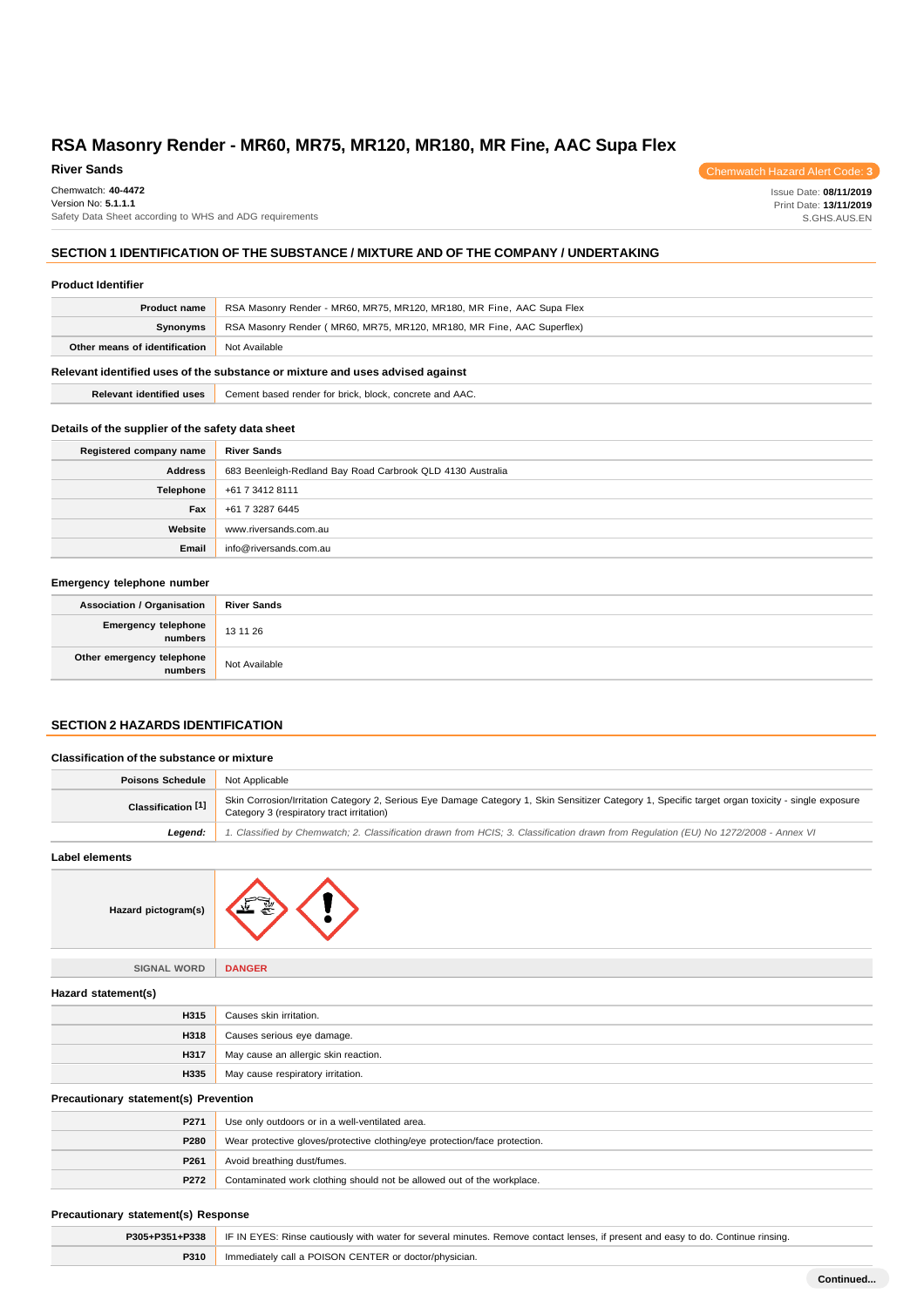#### **River Sands**

Chemwatch: **40-4472**

Version No: **5.1.1.1** Safety Data Sheet according to WHS and ADG requirements

# **SECTION 1 IDENTIFICATION OF THE SUBSTANCE / MIXTURE AND OF THE COMPANY / UNDERTAKING**

### **Product Identifier**

| <b>Product name</b>                                                           | RSA Masonry Render - MR60, MR75, MR120, MR180, MR Fine, AAC Supa Flex |  |
|-------------------------------------------------------------------------------|-----------------------------------------------------------------------|--|
| Synonyms                                                                      | RSA Masonry Render (MR60, MR75, MR120, MR180, MR Fine, AAC Superflex) |  |
| Other means of identification                                                 | Not Available                                                         |  |
| Relevant identified uses of the substance or mixture and uses advised against |                                                                       |  |

**Relevant identified uses** Cement based render for brick, block, concrete and AAC.

# **Details of the supplier of the safety data sheet**

| Registered company name | <b>River Sands</b>                                         |
|-------------------------|------------------------------------------------------------|
| <b>Address</b>          | 683 Beenleigh-Redland Bay Road Carbrook QLD 4130 Australia |
| Telephone               | +61 7 3412 8111                                            |
| Fax                     | +61 7 3287 6445                                            |
| Website                 | www.riversands.com.au                                      |
| Email                   | info@riversands.com.au                                     |

## **Emergency telephone number**

| <b>Association / Organisation</b>            | <b>River Sands</b> |
|----------------------------------------------|--------------------|
| <b>Emergency telephone</b><br><b>numbers</b> | 13 11 26           |
| Other emergency telephone<br>numbers         | Not Available      |

# **SECTION 2 HAZARDS IDENTIFICATION**

| <b>Classification of the substance or mixture</b> |                                                                                                                                                                                                |  |
|---------------------------------------------------|------------------------------------------------------------------------------------------------------------------------------------------------------------------------------------------------|--|
| <b>Poisons Schedule</b>                           | Not Applicable                                                                                                                                                                                 |  |
| Classification [1]                                | Skin Corrosion/Irritation Category 2, Serious Eye Damage Category 1, Skin Sensitizer Category 1, Specific target organ toxicity - single exposure<br>Category 3 (respiratory tract irritation) |  |
| Legend:                                           | 1. Classified by Chemwatch; 2. Classification drawn from HCIS; 3. Classification drawn from Requlation (EU) No 1272/2008 - Annex VI                                                            |  |
| <b>Label elements</b>                             |                                                                                                                                                                                                |  |
| Hazard pictogram(s)                               |                                                                                                                                                                                                |  |
| <b>SIGNAL WORD</b>                                | <b>DANGER</b>                                                                                                                                                                                  |  |
| Hazard statement(s)                               |                                                                                                                                                                                                |  |

| H315 | Causes skin irritation.              |
|------|--------------------------------------|
| H318 | Causes serious eye damage.           |
| H317 | May cause an allergic skin reaction. |
| H335 | May cause respiratory irritation.    |

# **Precautionary statement(s) Prevention**

| P271        | Use only outdoors or in a well-ventilated area.                            |
|-------------|----------------------------------------------------------------------------|
| <b>P280</b> | Wear protective gloves/protective clothing/eye protection/face protection. |
| P261        | Avoid breathing dust/fumes.                                                |
| P272        | Contaminated work clothing should not be allowed out of the workplace.     |

# **Precautionary statement(s) Response**

| P305+P351+P338 | F IF IN EYES: Rinse cautiously with water for several minutes. Remove contact lenses, if present and easy to do. Continue rinsing. |  |
|----------------|------------------------------------------------------------------------------------------------------------------------------------|--|
| P310           | Immediately call a POISON CENTER or doctor/physician.                                                                              |  |

Issue Date: **08/11/2019** Print Date: **13/11/2019** S.GHS.AUS.EN

Chemwatch Hazard Alert Code: **3**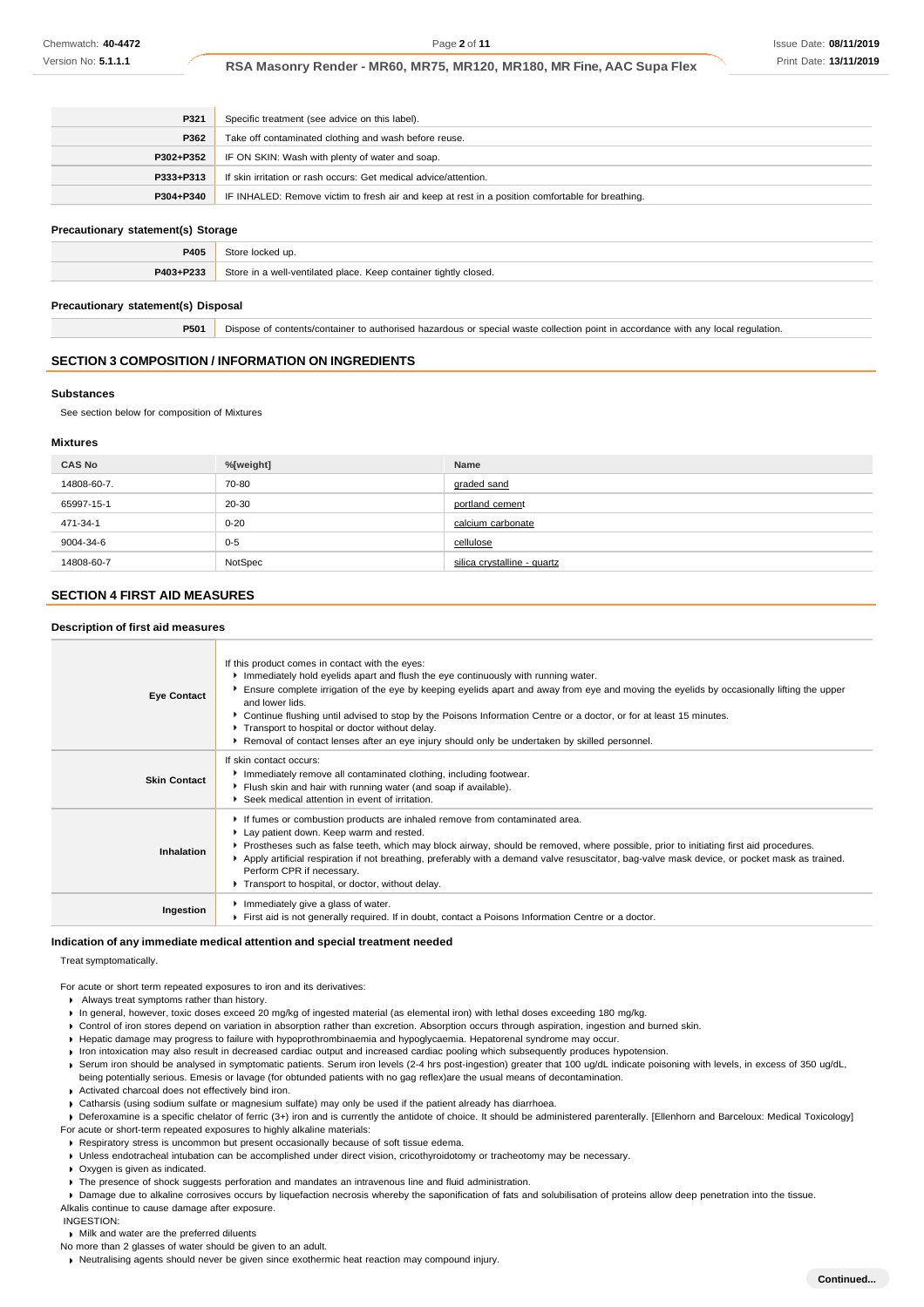| P321      | Specific treatment (see advice on this label).                                                   |
|-----------|--------------------------------------------------------------------------------------------------|
| P362      | Take off contaminated clothing and wash before reuse.                                            |
| P302+P352 | IF ON SKIN: Wash with plenty of water and soap.                                                  |
| P333+P313 | If skin irritation or rash occurs: Get medical advice/attention.                                 |
| P304+P340 | IF INHALED: Remove victim to fresh air and keep at rest in a position comfortable for breathing. |
|           |                                                                                                  |

# **Precautionary statement(s) Storage**

| ____      | ____<br>and the state of the con-                                |
|-----------|------------------------------------------------------------------|
| P405      | au t                                                             |
| P403+P233 | Store in a well-ventilated place. Keep container tightly closed. |

#### **Precautionary statement(s) Disposal**

**P501** Dispose of contents/container to authorised hazardous or special waste collection point in accordance with any local regulation.

#### **SECTION 3 COMPOSITION / INFORMATION ON INGREDIENTS**

#### **Substances**

See section below for composition of Mixtures

### **Mixtures**

| <b>CAS No</b> | %[weight] | <b>Name</b>                 |
|---------------|-----------|-----------------------------|
| 14808-60-7.   | 70-80     | graded sand                 |
| 65997-15-1    | 20-30     | portland cement             |
| 471-34-1      | $0 - 20$  | calcium carbonate           |
| 9004-34-6     | $0 - 5$   | cellulose                   |
| 14808-60-7    | NotSpec   | silica crystalline - quartz |

# **SECTION 4 FIRST AID MEASURES**

## **Description of first aid measures**

| <b>Eye Contact</b>  | If this product comes in contact with the eyes:<br>Immediately hold eyelids apart and flush the eye continuously with running water.<br>Ensure complete irrigation of the eye by keeping eyelids apart and away from eye and moving the eyelids by occasionally lifting the upper<br>and lower lids.<br>▶ Continue flushing until advised to stop by the Poisons Information Centre or a doctor, or for at least 15 minutes.<br>Transport to hospital or doctor without delay.<br>Removal of contact lenses after an eye injury should only be undertaken by skilled personnel. |
|---------------------|---------------------------------------------------------------------------------------------------------------------------------------------------------------------------------------------------------------------------------------------------------------------------------------------------------------------------------------------------------------------------------------------------------------------------------------------------------------------------------------------------------------------------------------------------------------------------------|
| <b>Skin Contact</b> | If skin contact occurs:<br>Inmediately remove all contaminated clothing, including footwear.<br>Flush skin and hair with running water (and soap if available).<br>▶ Seek medical attention in event of irritation.                                                                                                                                                                                                                                                                                                                                                             |
| Inhalation          | If fumes or combustion products are inhaled remove from contaminated area.<br>Lay patient down. Keep warm and rested.<br>▶ Prostheses such as false teeth, which may block airway, should be removed, where possible, prior to initiating first aid procedures.<br>Apply artificial respiration if not breathing, preferably with a demand valve resuscitator, bag-valve mask device, or pocket mask as trained.<br>Perform CPR if necessary.<br>Transport to hospital, or doctor, without delay.                                                                               |
| Ingestion           | Immediately give a glass of water.<br>First aid is not generally required. If in doubt, contact a Poisons Information Centre or a doctor.                                                                                                                                                                                                                                                                                                                                                                                                                                       |

### **Indication of any immediate medical attention and special treatment needed**

Treat symptomatically.

For acute or short term repeated exposures to iron and its derivatives:

- Always treat symptoms rather than history.
- In general, however, toxic doses exceed 20 mg/kg of ingested material (as elemental iron) with lethal doses exceeding 180 mg/kg.
- Control of iron stores depend on variation in absorption rather than excretion. Absorption occurs through aspiration, ingestion and burned skin.
- Hepatic damage may progress to failure with hypoprothrombinaemia and hypoglycaemia. Hepatorenal syndrome may occur.
- Iron intoxication may also result in decreased cardiac output and increased cardiac pooling which subsequently produces hypotension.
- ▶ Serum iron should be analysed in symptomatic patients. Serum iron levels (2-4 hrs post-ingestion) greater that 100 ug/dL indicate poisoning with levels, in excess of 350 ug/dL, being potentially serious. Emesis or lavage (for obtunded patients with no gag reflex)are the usual means of decontamination.
- Activated charcoal does not effectively bind iron.
- Catharsis (using sodium sulfate or magnesium sulfate) may only be used if the patient already has diarrhoea.
- ▶ Deferoxamine is a specific chelator of ferric (3+) iron and is currently the antidote of choice. It should be administered parenterally. [Ellenhorn and Barceloux: Medical Toxicology]
- For acute or short-term repeated exposures to highly alkaline materials:
- Respiratory stress is uncommon but present occasionally because of soft tissue edema. Unless endotracheal intubation can be accomplished under direct vision, cricothyroidotomy or tracheotomy may be necessary.
- ▶ Oxygen is given as indicated.
- ▶ The presence of shock suggests perforation and mandates an intravenous line and fluid administration.

Damage due to alkaline corrosives occurs by liquefaction necrosis whereby the saponification of fats and solubilisation of proteins allow deep penetration into the tissue. Alkalis continue to cause damage after exposure.

INGESTION:

Milk and water are the preferred diluents

No more than 2 glasses of water should be given to an adult.

Neutralising agents should never be given since exothermic heat reaction may compound injury.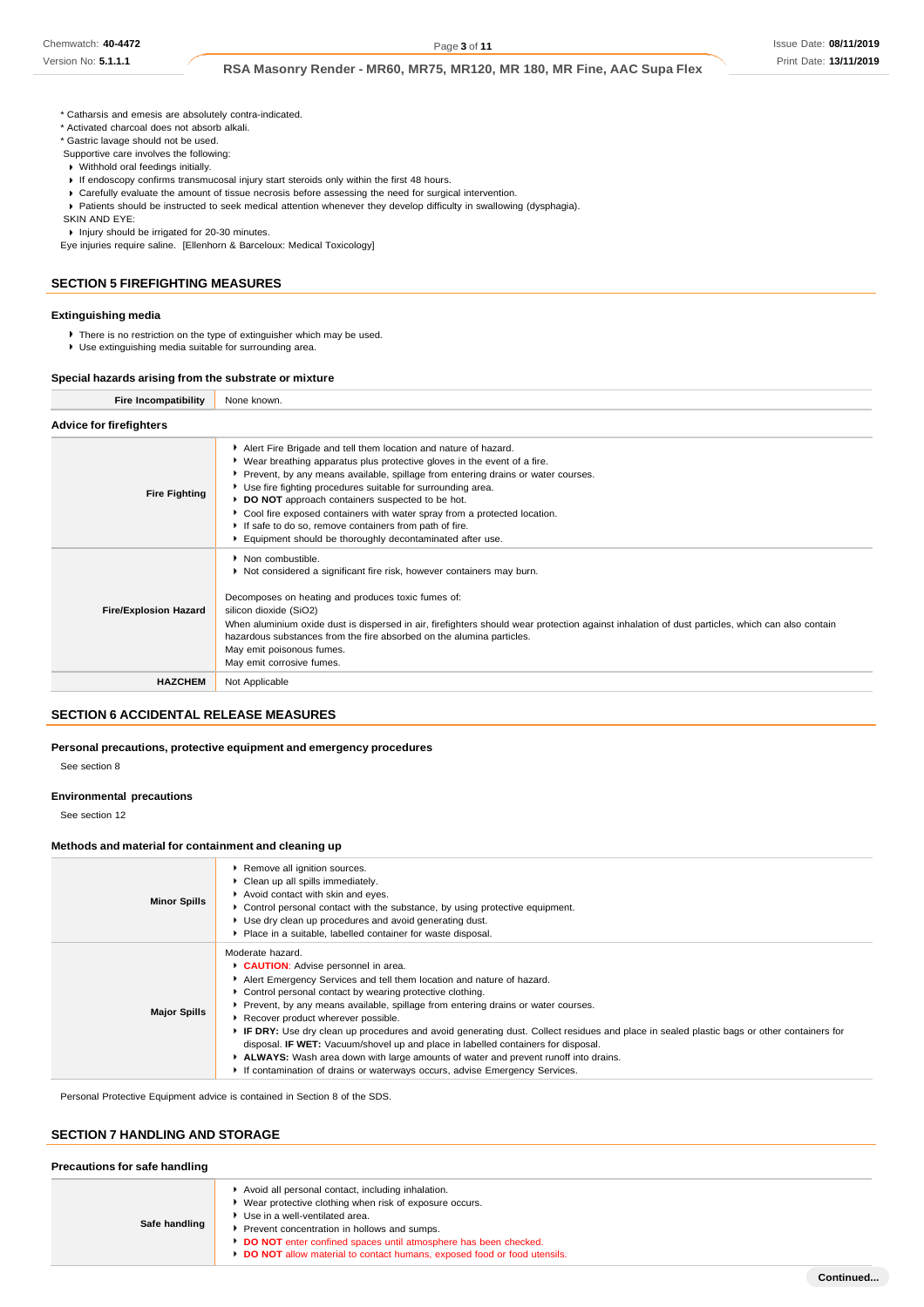Version No: **5.1.1.1**

# **RSA Masonry Render - MR60, MR75, MR120, MR 180, MR Fine, AAC Supa Flex**

- \* Catharsis and emesis are absolutely contra-indicated.
- \* Activated charcoal does not absorb alkali.
- \* Gastric lavage should not be used. Supportive care involves the following:
- Withhold oral feedings initially.
- 
- If endoscopy confirms transmucosal injury start steroids only within the first 48 hours.
- Carefully evaluate the amount of tissue necrosis before assessing the need for surgical intervention. Patients should be instructed to seek medical attention whenever they develop difficulty in swallowing (dysphagia).

SKIN AND EYE:

▶ Injury should be irrigated for 20-30 minutes.

Eye injuries require saline. [Ellenhorn & Barceloux: Medical Toxicology]

### **SECTION 5 FIREFIGHTING MEASURES**

# **Extinguishing media**

- $\blacktriangleright$  There is no restriction on the type of extinguisher which may be used.
- Use extinguishing media suitable for surrounding area.

# **Special hazards arising from the substrate or mixture**

**Fire Incompatibility** None known.

| <b>Advice for firefighters</b> |                                                                                                                                                                                                                                                                                                                                                                                                                                                                                                                                                          |
|--------------------------------|----------------------------------------------------------------------------------------------------------------------------------------------------------------------------------------------------------------------------------------------------------------------------------------------------------------------------------------------------------------------------------------------------------------------------------------------------------------------------------------------------------------------------------------------------------|
| <b>Fire Fighting</b>           | Alert Fire Brigade and tell them location and nature of hazard.<br>► Wear breathing apparatus plus protective gloves in the event of a fire.<br>Prevent, by any means available, spillage from entering drains or water courses.<br>▶ Use fire fighting procedures suitable for surrounding area.<br>▶ DO NOT approach containers suspected to be hot.<br>Cool fire exposed containers with water spray from a protected location.<br>If safe to do so, remove containers from path of fire.<br>Equipment should be thoroughly decontaminated after use. |
| <b>Fire/Explosion Hazard</b>   | • Non combustible.<br>Not considered a significant fire risk, however containers may burn.<br>Decomposes on heating and produces toxic fumes of:<br>silicon dioxide (SiO2)<br>When aluminium oxide dust is dispersed in air, firefighters should wear protection against inhalation of dust particles, which can also contain<br>hazardous substances from the fire absorbed on the alumina particles.<br>May emit poisonous fumes.<br>May emit corrosive fumes.                                                                                         |
| <b>HAZCHEM</b>                 | Not Applicable                                                                                                                                                                                                                                                                                                                                                                                                                                                                                                                                           |

# **SECTION 6 ACCIDENTAL RELEASE MEASURES**

#### **Personal precautions, protective equipment and emergency procedures**

See section 8

### **Environmental precautions**

See section 12

## **Methods and material for containment and cleaning up**

| <b>Minor Spills</b> | Remove all ignition sources.<br>• Clean up all spills immediately.<br>Avoid contact with skin and eyes.<br>• Control personal contact with the substance, by using protective equipment.<br>▶ Use dry clean up procedures and avoid generating dust.<br>▶ Place in a suitable, labelled container for waste disposal.                                                                                                                                                                                                                                                                                                                                                                                                                 |
|---------------------|---------------------------------------------------------------------------------------------------------------------------------------------------------------------------------------------------------------------------------------------------------------------------------------------------------------------------------------------------------------------------------------------------------------------------------------------------------------------------------------------------------------------------------------------------------------------------------------------------------------------------------------------------------------------------------------------------------------------------------------|
| <b>Major Spills</b> | Moderate hazard.<br>CAUTION: Advise personnel in area.<br>Alert Emergency Services and tell them location and nature of hazard.<br>▶ Control personal contact by wearing protective clothing.<br>Prevent, by any means available, spillage from entering drains or water courses.<br>Recover product wherever possible.<br>▶ IF DRY: Use dry clean up procedures and avoid generating dust. Collect residues and place in sealed plastic bags or other containers for<br>disposal. <b>IF WET:</b> Vacuum/shovel up and place in labelled containers for disposal.<br>ALWAYS: Wash area down with large amounts of water and prevent runoff into drains.<br>If contamination of drains or waterways occurs, advise Emergency Services. |

Personal Protective Equipment advice is contained in Section 8 of the SDS.

# **SECTION 7 HANDLING AND STORAGE**

# **Precautions for safe handling**

| Safe handling | Avoid all personal contact, including inhalation.<br>▶ Wear protective clothing when risk of exposure occurs.<br>▶ Use in a well-ventilated area.<br>Prevent concentration in hollows and sumps.<br>DO NOT enter confined spaces until atmosphere has been checked.<br>DO NOT allow material to contact humans, exposed food or food utensils. |
|---------------|------------------------------------------------------------------------------------------------------------------------------------------------------------------------------------------------------------------------------------------------------------------------------------------------------------------------------------------------|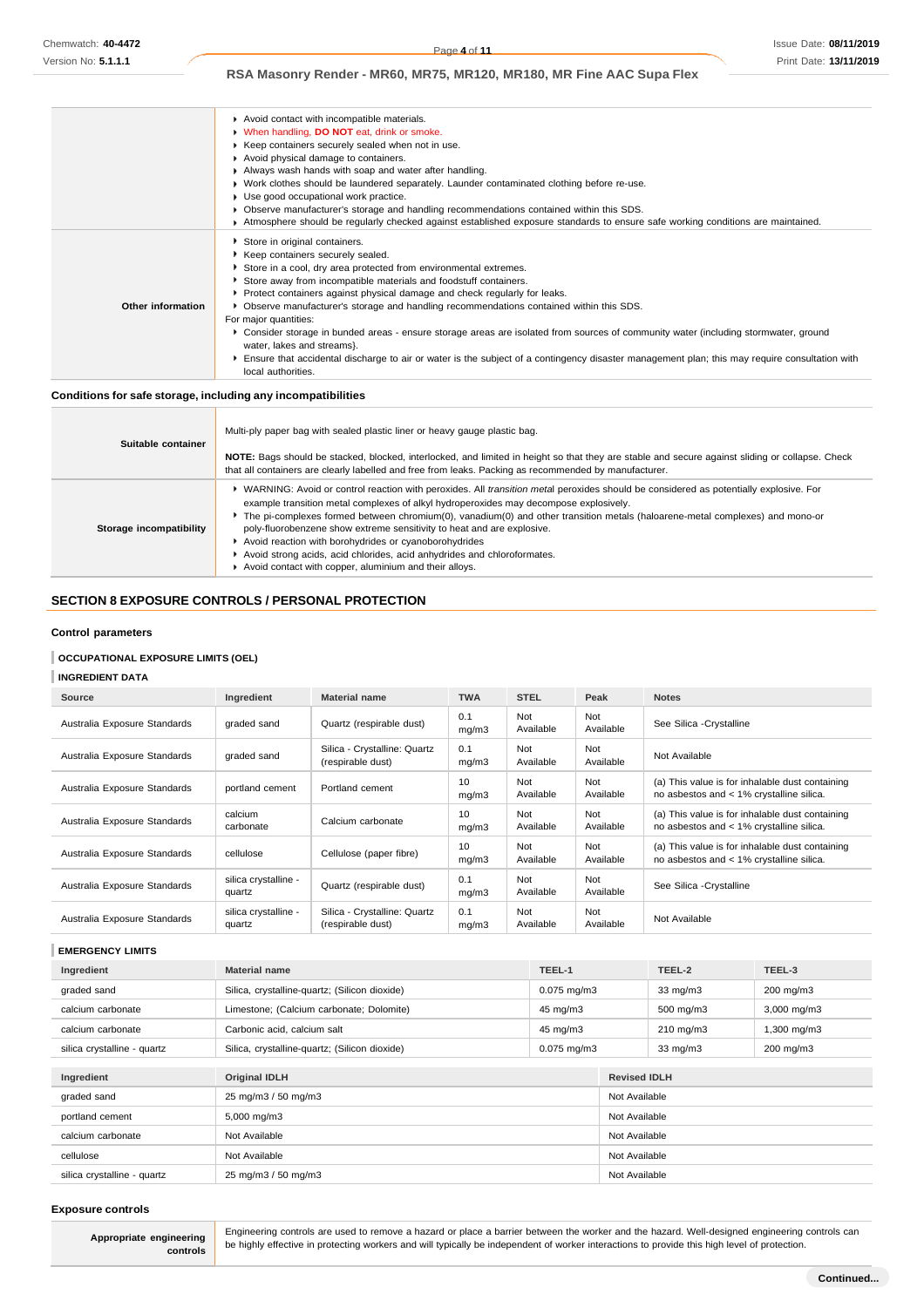|                   | Avoid contact with incompatible materials.                                                                                                                          |
|-------------------|---------------------------------------------------------------------------------------------------------------------------------------------------------------------|
|                   | <b>No. When handling, DO NOT eat, drink or smoke.</b>                                                                                                               |
|                   | ▶ Keep containers securely sealed when not in use.                                                                                                                  |
|                   |                                                                                                                                                                     |
|                   | Avoid physical damage to containers.                                                                                                                                |
|                   | Always wash hands with soap and water after handling.                                                                                                               |
|                   | • Work clothes should be laundered separately. Launder contaminated clothing before re-use.                                                                         |
|                   | Use good occupational work practice.                                                                                                                                |
|                   | • Observe manufacturer's storage and handling recommendations contained within this SDS.                                                                            |
|                   | Atmosphere should be regularly checked against established exposure standards to ensure safe working conditions are maintained.                                     |
|                   | Store in original containers.                                                                                                                                       |
|                   | Keep containers securely sealed.                                                                                                                                    |
|                   | Store in a cool, dry area protected from environmental extremes.                                                                                                    |
|                   | Store away from incompatible materials and foodstuff containers.                                                                                                    |
|                   | ▶ Protect containers against physical damage and check regularly for leaks.                                                                                         |
| Other information | ▶ Observe manufacturer's storage and handling recommendations contained within this SDS.                                                                            |
|                   | For major quantities:                                                                                                                                               |
|                   | Consider storage in bunded areas - ensure storage areas are isolated from sources of community water (including stormwater, ground<br>water, lakes and streams}.    |
|                   | Ensure that accidental discharge to air or water is the subject of a contingency disaster management plan; this may require consultation with<br>local authorities. |

#### **Conditions for safe storage, including any incompatibilities**

| Suitable container      | Multi-ply paper bag with sealed plastic liner or heavy gauge plastic bag.<br>NOTE: Bags should be stacked, blocked, interlocked, and limited in height so that they are stable and secure against sliding or collapse. Check<br>that all containers are clearly labelled and free from leaks. Packing as recommended by manufacturer.                                                                                                                                                                                                                                                                                                          |
|-------------------------|------------------------------------------------------------------------------------------------------------------------------------------------------------------------------------------------------------------------------------------------------------------------------------------------------------------------------------------------------------------------------------------------------------------------------------------------------------------------------------------------------------------------------------------------------------------------------------------------------------------------------------------------|
| Storage incompatibility | ▶ WARNING: Avoid or control reaction with peroxides. All <i>transition metal</i> peroxides should be considered as potentially explosive. For<br>example transition metal complexes of alkyl hydroperoxides may decompose explosively.<br>The pi-complexes formed between chromium(0), vanadium(0) and other transition metals (haloarene-metal complexes) and mono-or<br>poly-fluorobenzene show extreme sensitivity to heat and are explosive.<br>Avoid reaction with borohydrides or cyanoborohydrides<br>Avoid strong acids, acid chlorides, acid anhydrides and chloroformates.<br>Avoid contact with copper, aluminium and their alloys. |

# **SECTION 8 EXPOSURE CONTROLS / PERSONAL PROTECTION**

### **Control parameters**

# **OCCUPATIONAL EXPOSURE LIMITS (OEL)**

# **INGREDIENT DATA**

| Source                       | Ingredient                     | <b>Material name</b>                              | <b>TWA</b>   | <b>STEL</b>      | Peak             | <b>Notes</b>                                                                                |
|------------------------------|--------------------------------|---------------------------------------------------|--------------|------------------|------------------|---------------------------------------------------------------------------------------------|
| Australia Exposure Standards | graded sand                    | Quartz (respirable dust)                          | 0.1<br>mq/m3 | Not<br>Available | Not<br>Available | See Silica - Crystalline                                                                    |
| Australia Exposure Standards | graded sand                    | Silica - Crystalline: Quartz<br>(respirable dust) | 0.1<br>mq/m3 | Not<br>Available | Not<br>Available | Not Available                                                                               |
| Australia Exposure Standards | portland cement                | Portland cement                                   | 10<br>mq/m3  | Not<br>Available | Not<br>Available | (a) This value is for inhalable dust containing<br>no asbestos and < 1% crystalline silica. |
| Australia Exposure Standards | calcium<br>carbonate           | Calcium carbonate                                 | 10<br>mq/m3  | Not<br>Available | Not<br>Available | (a) This value is for inhalable dust containing<br>no asbestos and < 1% crystalline silica. |
| Australia Exposure Standards | cellulose                      | Cellulose (paper fibre)                           | 10<br>mq/m3  | Not<br>Available | Not<br>Available | (a) This value is for inhalable dust containing<br>no asbestos and < 1% crystalline silica. |
| Australia Exposure Standards | silica crystalline -<br>quartz | Quartz (respirable dust)                          | 0.1<br>mq/m3 | Not<br>Available | Not<br>Available | See Silica - Crystalline                                                                    |
| Australia Exposure Standards | silica crystalline -<br>quartz | Silica - Crystalline: Quartz<br>(respirable dust) | 0.1<br>mq/m3 | Not<br>Available | Not<br>Available | Not Available                                                                               |

**EMERGENCY LIMITS**

| Ingredient                  | <b>Material name</b>                          | TEEL-1           |                     | TEEL-2             | TEEL-3           |
|-----------------------------|-----------------------------------------------|------------------|---------------------|--------------------|------------------|
| graded sand                 | Silica, crystalline-quartz; (Silicon dioxide) | $0.075$ mg/m $3$ |                     | $33 \text{ mg/m}$  | 200 mg/m3        |
| calcium carbonate           | Limestone; (Calcium carbonate; Dolomite)      | 45 mg/m3         |                     | 500 mg/m3          | 3,000 mg/m3      |
| calcium carbonate           | Carbonic acid, calcium salt                   | 45 mg/m3         |                     | $210 \text{ mg/m}$ | $1,300$ mg/m $3$ |
| silica crystalline - quartz | Silica, crystalline-quartz; (Silicon dioxide) | $0.075$ mg/m $3$ |                     | $33 \text{ mg/m}$  | 200 mg/m3        |
|                             |                                               |                  |                     |                    |                  |
| Ingredient                  | <b>Original IDLH</b>                          |                  | <b>Revised IDLH</b> |                    |                  |
| graded sand                 | 25 mg/m3 / 50 mg/m3                           |                  | Not Available       |                    |                  |
| portland cement             | $5,000 \text{ mg/m}$ 3                        |                  | Not Available       |                    |                  |
| calcium carbonate           | Not Available                                 |                  | Not Available       |                    |                  |
| cellulose                   | Not Available                                 |                  | Not Available       |                    |                  |
| silica crystalline - quartz | 25 mg/m3 / 50 mg/m3                           |                  | Not Available       |                    |                  |

#### **Exposure controls**

**Appropriate engineering controls** Engineering controls are used to remove a hazard or place a barrier between the worker and the hazard. Well-designed engineering controls can be highly effective in protecting workers and will typically be independent of worker interactions to provide this high level of protection.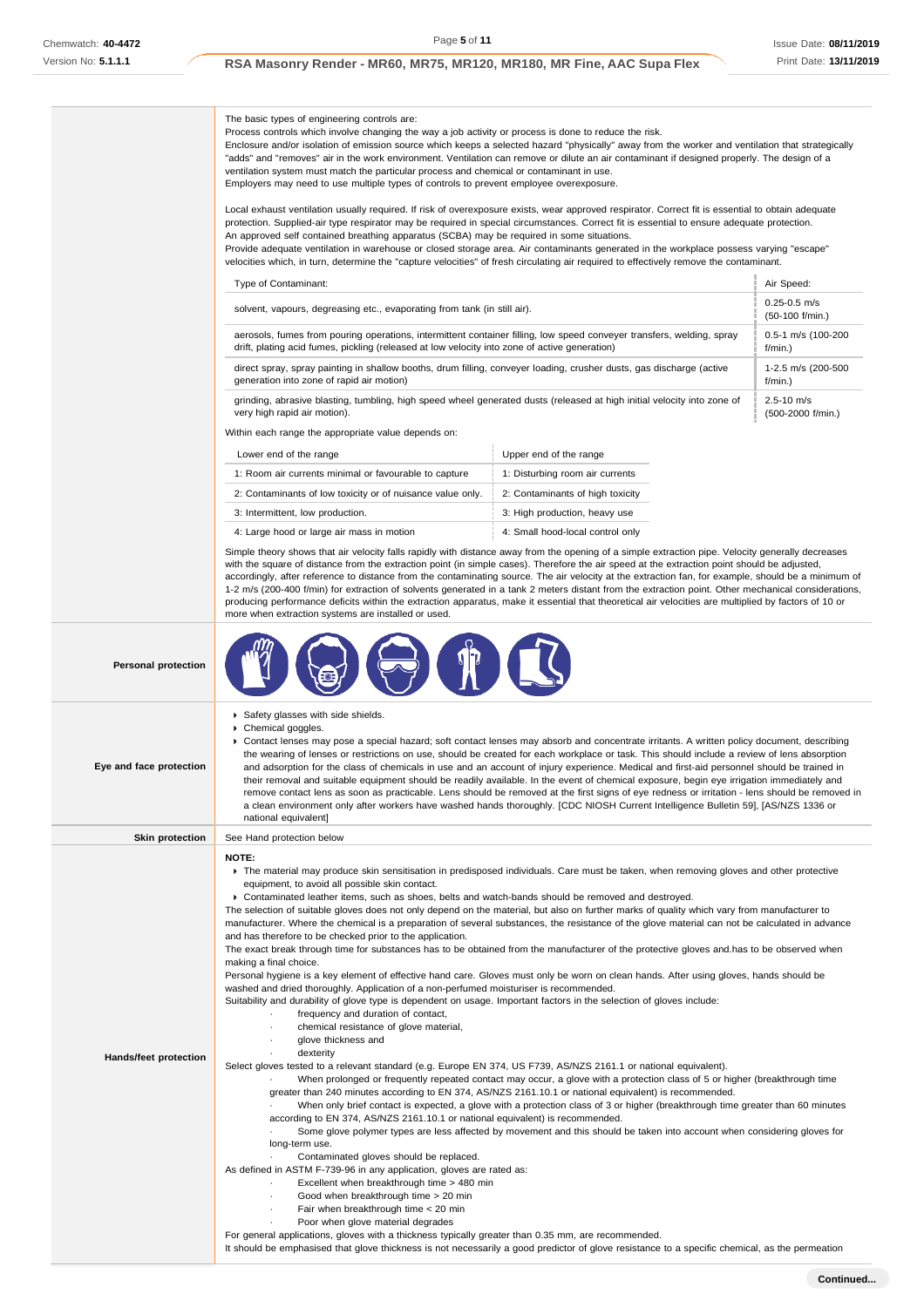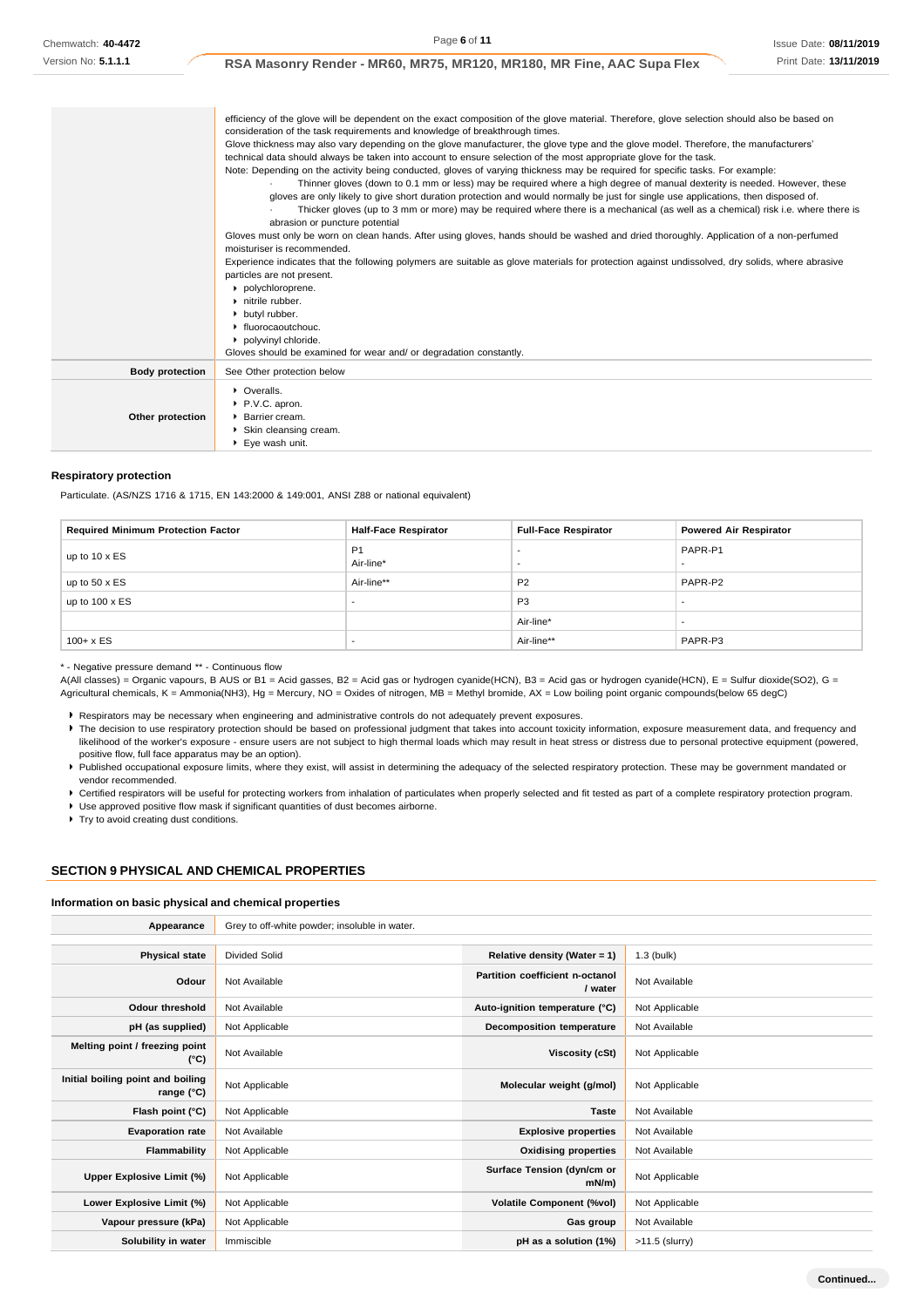Issue Date: **08/11/2019** Print Date: **13/11/2019**

**RSA Masonry Render - MR60, MR75, MR120, MR180, MR Fine, AAC Supa Flex**

|                        | efficiency of the glove will be dependent on the exact composition of the glove material. Therefore, glove selection should also be based on    |
|------------------------|-------------------------------------------------------------------------------------------------------------------------------------------------|
|                        | consideration of the task requirements and knowledge of breakthrough times.                                                                     |
|                        | Glove thickness may also vary depending on the glove manufacturer, the glove type and the glove model. Therefore, the manufacturers'            |
|                        | technical data should always be taken into account to ensure selection of the most appropriate glove for the task.                              |
|                        | Note: Depending on the activity being conducted, gloves of varying thickness may be required for specific tasks. For example:                   |
|                        | Thinner gloves (down to 0.1 mm or less) may be required where a high degree of manual dexterity is needed. However, these                       |
|                        | gloves are only likely to give short duration protection and would normally be just for single use applications, then disposed of.              |
|                        | Thicker gloves (up to 3 mm or more) may be required where there is a mechanical (as well as a chemical) risk i.e. where there is                |
|                        | abrasion or puncture potential                                                                                                                  |
|                        | Gloves must only be worn on clean hands. After using gloves, hands should be washed and dried thoroughly. Application of a non-perfumed         |
|                        | moisturiser is recommended.                                                                                                                     |
|                        | Experience indicates that the following polymers are suitable as glove materials for protection against undissolved, dry solids, where abrasive |
|                        | particles are not present.                                                                                                                      |
|                        | polychloroprene.                                                                                                                                |
|                        | $\blacktriangleright$ nitrile rubber.                                                                                                           |
|                        | butyl rubber.                                                                                                                                   |
|                        | • fluorocaoutchouc.                                                                                                                             |
|                        | polyvinyl chloride.                                                                                                                             |
|                        | Gloves should be examined for wear and/ or degradation constantly.                                                                              |
| <b>Body protection</b> | See Other protection below                                                                                                                      |
|                        | • Overalls.                                                                                                                                     |
|                        | P.V.C. apron.                                                                                                                                   |
| Other protection       | Barrier cream.                                                                                                                                  |
|                        | Skin cleansing cream.                                                                                                                           |
|                        | ▶ Eye wash unit.                                                                                                                                |

#### **Respiratory protection**

Particulate. (AS/NZS 1716 & 1715, EN 143:2000 & 149:001, ANSI Z88 or national equivalent)

| <b>Required Minimum Protection Factor</b> | <b>Half-Face Respirator</b> | <b>Full-Face Respirator</b> | <b>Powered Air Respirator</b>       |
|-------------------------------------------|-----------------------------|-----------------------------|-------------------------------------|
| up to $10 \times ES$                      | P <sub>1</sub><br>Air-line* | $\overline{\phantom{0}}$    | PAPR-P1<br>$\overline{\phantom{0}}$ |
| up to $50 \times ES$                      | Air-line**                  | P <sub>2</sub>              | PAPR-P2                             |
| up to $100 \times ES$                     | $\overline{\phantom{a}}$    | P <sub>3</sub>              |                                     |
|                                           |                             | Air-line*                   | $\overline{\phantom{0}}$            |
| $100 + x ES$                              | $\overline{\phantom{a}}$    | Air-line**                  | PAPR-P3                             |

\* - Negative pressure demand \*\* - Continuous flow

A(All classes) = Organic vapours, B AUS or B1 = Acid gasses, B2 = Acid gas or hydrogen cyanide(HCN), B3 = Acid gas or hydrogen cyanide(HCN), E = Sulfur dioxide(SO2), G = Agricultural chemicals, K = Ammonia(NH3), Hg = Mercury, NO = Oxides of nitrogen, MB = Methyl bromide, AX = Low boiling point organic compounds(below 65 degC)

Respirators may be necessary when engineering and administrative controls do not adequately prevent exposures.

▶ The decision to use respiratory protection should be based on professional judgment that takes into account toxicity information, exposure measurement data, and frequency and likelihood of the worker's exposure - ensure users are not subject to high thermal loads which may result in heat stress or distress due to personal protective equipment (powered, positive flow, full face apparatus may be an option).

Published occupational exposure limits, where they exist, will assist in determining the adequacy of the selected respiratory protection. These may be government mandated or vendor recommended.

Certified respirators will be useful for protecting workers from inhalation of particulates when properly selected and fit tested as part of a complete respiratory protection program.

Use approved positive flow mask if significant quantities of dust becomes airborne.

**F** Try to avoid creating dust conditions.

#### **SECTION 9 PHYSICAL AND CHEMICAL PROPERTIES**

#### **Information on basic physical and chemical properties**

| Appearance                                               | Grey to off-white powder; insoluble in water. |                                            |                  |  |  |  |
|----------------------------------------------------------|-----------------------------------------------|--------------------------------------------|------------------|--|--|--|
|                                                          |                                               |                                            |                  |  |  |  |
| <b>Physical state</b>                                    | <b>Divided Solid</b>                          | Relative density (Water = 1)               | $1.3$ (bulk)     |  |  |  |
| Odour                                                    | Not Available                                 | Partition coefficient n-octanol<br>/ water | Not Available    |  |  |  |
| <b>Odour threshold</b>                                   | Not Available                                 | Auto-ignition temperature (°C)             | Not Applicable   |  |  |  |
| pH (as supplied)                                         | Not Applicable                                | Decomposition temperature                  | Not Available    |  |  |  |
| Melting point / freezing point<br>(°C)                   | Not Available                                 | Viscosity (cSt)                            | Not Applicable   |  |  |  |
| Initial boiling point and boiling<br>range $(^{\circ}C)$ | Not Applicable                                | Molecular weight (g/mol)                   | Not Applicable   |  |  |  |
| Flash point (°C)                                         | Not Applicable                                | <b>Taste</b>                               | Not Available    |  |  |  |
| <b>Evaporation rate</b>                                  | Not Available                                 | <b>Explosive properties</b>                | Not Available    |  |  |  |
| Flammability                                             | Not Applicable                                | <b>Oxidising properties</b>                | Not Available    |  |  |  |
| Upper Explosive Limit (%)                                | Not Applicable                                | Surface Tension (dyn/cm or<br>mN/m         | Not Applicable   |  |  |  |
| Lower Explosive Limit (%)                                | Not Applicable                                | <b>Volatile Component (%vol)</b>           | Not Applicable   |  |  |  |
| Vapour pressure (kPa)                                    | Not Applicable                                | Gas group                                  | Not Available    |  |  |  |
| Solubility in water                                      | Immiscible                                    | pH as a solution (1%)                      | $>11.5$ (slurry) |  |  |  |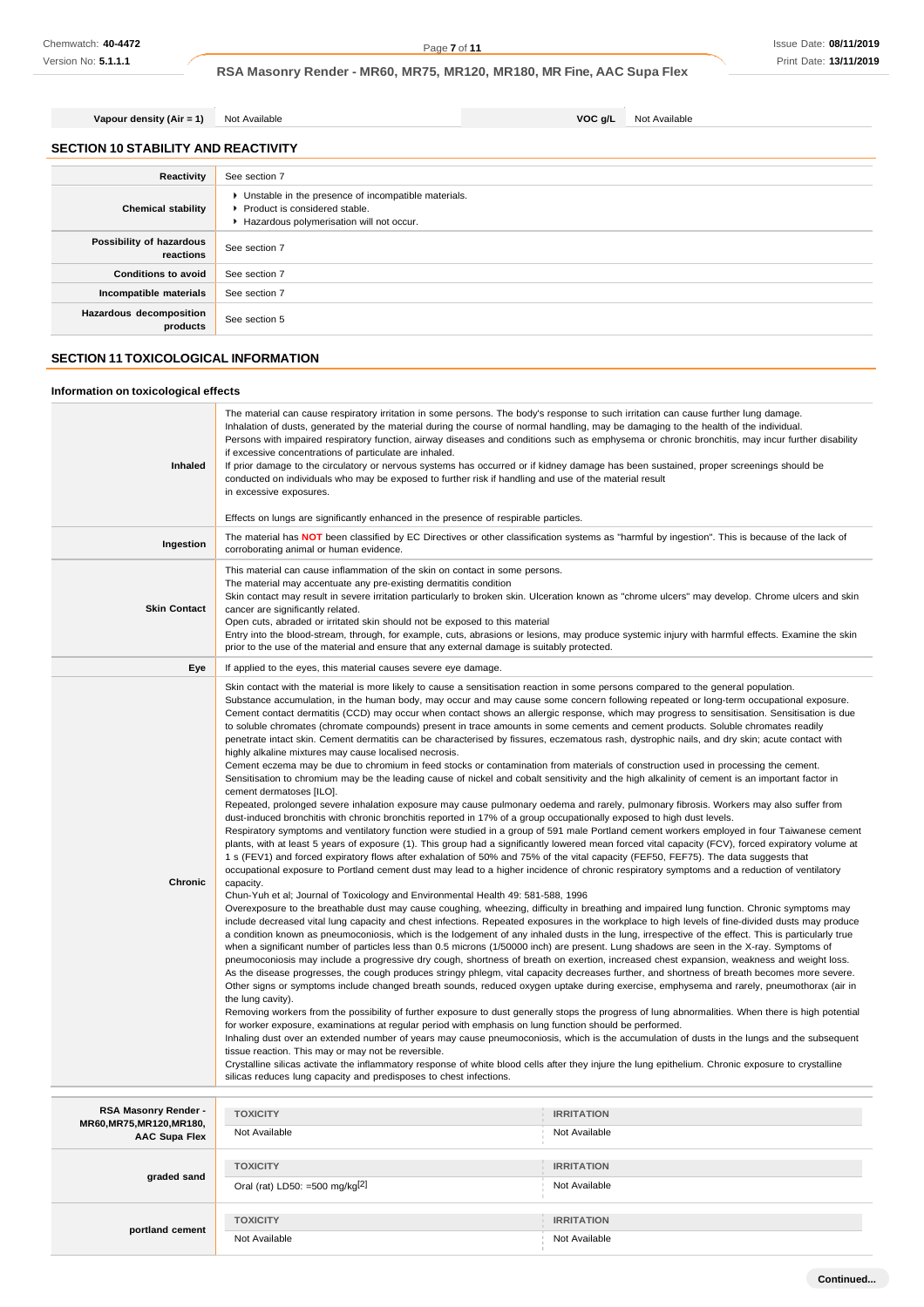**SECTION 10 STABILITY AND REACTIVITY Reactivity** See section 7 **Chemical stability** Unstable in the presence of incompatible materials. Product is considered stable. Hazardous polymerisation will not occur. **Possibility of hazardous reactions** See section 7 **Conditions to avoid** See section 7 **Incompatible materials** See section 7 **Hazardous decomposition products** See section 5 **Vapour density (Air = 1)** Not Available **VOC g/L** Not Available

# **SECTION 11 TOXICOLOGICAL INFORMATION**

## **Information on toxicological effects**

| Inhaled                                           | The material can cause respiratory irritation in some persons. The body's response to such irritation can cause further lung damage.<br>Inhalation of dusts, generated by the material during the course of normal handling, may be damaging to the health of the individual.<br>Persons with impaired respiratory function, airway diseases and conditions such as emphysema or chronic bronchitis, may incur further disability<br>if excessive concentrations of particulate are inhaled.<br>If prior damage to the circulatory or nervous systems has occurred or if kidney damage has been sustained, proper screenings should be<br>conducted on individuals who may be exposed to further risk if handling and use of the material result<br>in excessive exposures.<br>Effects on lungs are significantly enhanced in the presence of respirable particles.<br>The material has NOT been classified by EC Directives or other classification systems as "harmful by ingestion". This is because of the lack of                                                                                                                                                                                                                                                                                                                                                                                                                                                                                                                                                                                                                                                                                                                                                                                                                                                                                                                                                                                                                                                                                                                                                                                                                                                                                                                                                                                                                                                                                                                                                                                                                                                                                                                                                                                                                                                                                                                                                                                                                                                                                                                                                                                                                                                                                                                                                                                                                                                                                                                                                                                                                                                                                                                                                                                                                     |                                                                                                                                                   |  |  |  |
|---------------------------------------------------|--------------------------------------------------------------------------------------------------------------------------------------------------------------------------------------------------------------------------------------------------------------------------------------------------------------------------------------------------------------------------------------------------------------------------------------------------------------------------------------------------------------------------------------------------------------------------------------------------------------------------------------------------------------------------------------------------------------------------------------------------------------------------------------------------------------------------------------------------------------------------------------------------------------------------------------------------------------------------------------------------------------------------------------------------------------------------------------------------------------------------------------------------------------------------------------------------------------------------------------------------------------------------------------------------------------------------------------------------------------------------------------------------------------------------------------------------------------------------------------------------------------------------------------------------------------------------------------------------------------------------------------------------------------------------------------------------------------------------------------------------------------------------------------------------------------------------------------------------------------------------------------------------------------------------------------------------------------------------------------------------------------------------------------------------------------------------------------------------------------------------------------------------------------------------------------------------------------------------------------------------------------------------------------------------------------------------------------------------------------------------------------------------------------------------------------------------------------------------------------------------------------------------------------------------------------------------------------------------------------------------------------------------------------------------------------------------------------------------------------------------------------------------------------------------------------------------------------------------------------------------------------------------------------------------------------------------------------------------------------------------------------------------------------------------------------------------------------------------------------------------------------------------------------------------------------------------------------------------------------------------------------------------------------------------------------------------------------------------------------------------------------------------------------------------------------------------------------------------------------------------------------------------------------------------------------------------------------------------------------------------------------------------------------------------------------------------------------------------------------------------------------------------------------------------------------------------------------------|---------------------------------------------------------------------------------------------------------------------------------------------------|--|--|--|
| Ingestion                                         | corroborating animal or human evidence.                                                                                                                                                                                                                                                                                                                                                                                                                                                                                                                                                                                                                                                                                                                                                                                                                                                                                                                                                                                                                                                                                                                                                                                                                                                                                                                                                                                                                                                                                                                                                                                                                                                                                                                                                                                                                                                                                                                                                                                                                                                                                                                                                                                                                                                                                                                                                                                                                                                                                                                                                                                                                                                                                                                                                                                                                                                                                                                                                                                                                                                                                                                                                                                                                                                                                                                                                                                                                                                                                                                                                                                                                                                                                                                                                                                                    |                                                                                                                                                   |  |  |  |
| <b>Skin Contact</b>                               | This material can cause inflammation of the skin on contact in some persons.<br>The material may accentuate any pre-existing dermatitis condition<br>cancer are significantly related.<br>Open cuts, abraded or irritated skin should not be exposed to this material<br>Entry into the blood-stream, through, for example, cuts, abrasions or lesions, may produce systemic injury with harmful effects. Examine the skin<br>prior to the use of the material and ensure that any external damage is suitably protected.                                                                                                                                                                                                                                                                                                                                                                                                                                                                                                                                                                                                                                                                                                                                                                                                                                                                                                                                                                                                                                                                                                                                                                                                                                                                                                                                                                                                                                                                                                                                                                                                                                                                                                                                                                                                                                                                                                                                                                                                                                                                                                                                                                                                                                                                                                                                                                                                                                                                                                                                                                                                                                                                                                                                                                                                                                                                                                                                                                                                                                                                                                                                                                                                                                                                                                                  | Skin contact may result in severe irritation particularly to broken skin. Ulceration known as "chrome ulcers" may develop. Chrome ulcers and skin |  |  |  |
| Eye                                               | If applied to the eyes, this material causes severe eye damage.                                                                                                                                                                                                                                                                                                                                                                                                                                                                                                                                                                                                                                                                                                                                                                                                                                                                                                                                                                                                                                                                                                                                                                                                                                                                                                                                                                                                                                                                                                                                                                                                                                                                                                                                                                                                                                                                                                                                                                                                                                                                                                                                                                                                                                                                                                                                                                                                                                                                                                                                                                                                                                                                                                                                                                                                                                                                                                                                                                                                                                                                                                                                                                                                                                                                                                                                                                                                                                                                                                                                                                                                                                                                                                                                                                            |                                                                                                                                                   |  |  |  |
| <b>Chronic</b>                                    | Skin contact with the material is more likely to cause a sensitisation reaction in some persons compared to the general population.<br>Substance accumulation, in the human body, may occur and may cause some concern following repeated or long-term occupational exposure.<br>Cement contact dermatitis (CCD) may occur when contact shows an allergic response, which may progress to sensitisation. Sensitisation is due<br>to soluble chromates (chromate compounds) present in trace amounts in some cements and cement products. Soluble chromates readily<br>penetrate intact skin. Cement dermatitis can be characterised by fissures, eczematous rash, dystrophic nails, and dry skin; acute contact with<br>highly alkaline mixtures may cause localised necrosis.<br>Cement eczema may be due to chromium in feed stocks or contamination from materials of construction used in processing the cement.<br>Sensitisation to chromium may be the leading cause of nickel and cobalt sensitivity and the high alkalinity of cement is an important factor in<br>cement dermatoses [ILO].<br>Repeated, prolonged severe inhalation exposure may cause pulmonary oedema and rarely, pulmonary fibrosis. Workers may also suffer from<br>dust-induced bronchitis with chronic bronchitis reported in 17% of a group occupationally exposed to high dust levels.<br>Respiratory symptoms and ventilatory function were studied in a group of 591 male Portland cement workers employed in four Taiwanese cement<br>plants, with at least 5 years of exposure (1). This group had a significantly lowered mean forced vital capacity (FCV), forced expiratory volume at<br>1 s (FEV1) and forced expiratory flows after exhalation of 50% and 75% of the vital capacity (FEF50, FEF75). The data suggests that<br>occupational exposure to Portland cement dust may lead to a higher incidence of chronic respiratory symptoms and a reduction of ventilatory<br>capacity.<br>Chun-Yuh et al; Journal of Toxicology and Environmental Health 49: 581-588, 1996<br>Overexposure to the breathable dust may cause coughing, wheezing, difficulty in breathing and impaired lung function. Chronic symptoms may<br>include decreased vital lung capacity and chest infections. Repeated exposures in the workplace to high levels of fine-divided dusts may produce<br>a condition known as pneumoconiosis, which is the lodgement of any inhaled dusts in the lung, irrespective of the effect. This is particularly true<br>when a significant number of particles less than 0.5 microns (1/50000 inch) are present. Lung shadows are seen in the X-ray. Symptoms of<br>pneumoconiosis may include a progressive dry cough, shortness of breath on exertion, increased chest expansion, weakness and weight loss.<br>As the disease progresses, the cough produces stringy phlegm, vital capacity decreases further, and shortness of breath becomes more severe.<br>Other signs or symptoms include changed breath sounds, reduced oxygen uptake during exercise, emphysema and rarely, pneumothorax (air in<br>the lung cavity).<br>Removing workers from the possibility of further exposure to dust generally stops the progress of lung abnormalities. When there is high potential<br>for worker exposure, examinations at regular period with emphasis on lung function should be performed.<br>Inhaling dust over an extended number of years may cause pneumoconiosis, which is the accumulation of dusts in the lungs and the subsequent<br>tissue reaction. This may or may not be reversible.<br>Crystalline silicas activate the inflammatory response of white blood cells after they injure the lung epithelium. Chronic exposure to crystalline<br>silicas reduces lung capacity and predisposes to chest infections. |                                                                                                                                                   |  |  |  |
| RSA Masonry Render -                              | <b>TOXICITY</b>                                                                                                                                                                                                                                                                                                                                                                                                                                                                                                                                                                                                                                                                                                                                                                                                                                                                                                                                                                                                                                                                                                                                                                                                                                                                                                                                                                                                                                                                                                                                                                                                                                                                                                                                                                                                                                                                                                                                                                                                                                                                                                                                                                                                                                                                                                                                                                                                                                                                                                                                                                                                                                                                                                                                                                                                                                                                                                                                                                                                                                                                                                                                                                                                                                                                                                                                                                                                                                                                                                                                                                                                                                                                                                                                                                                                                            | <b>IRRITATION</b>                                                                                                                                 |  |  |  |
| MR60, MR75, MR120, MR180,<br><b>AAC Supa Flex</b> | Not Available                                                                                                                                                                                                                                                                                                                                                                                                                                                                                                                                                                                                                                                                                                                                                                                                                                                                                                                                                                                                                                                                                                                                                                                                                                                                                                                                                                                                                                                                                                                                                                                                                                                                                                                                                                                                                                                                                                                                                                                                                                                                                                                                                                                                                                                                                                                                                                                                                                                                                                                                                                                                                                                                                                                                                                                                                                                                                                                                                                                                                                                                                                                                                                                                                                                                                                                                                                                                                                                                                                                                                                                                                                                                                                                                                                                                                              | Not Available                                                                                                                                     |  |  |  |
| graded sand                                       | <b>TOXICITY</b><br>Oral (rat) LD50: =500 mg/kg <sup>[2]</sup>                                                                                                                                                                                                                                                                                                                                                                                                                                                                                                                                                                                                                                                                                                                                                                                                                                                                                                                                                                                                                                                                                                                                                                                                                                                                                                                                                                                                                                                                                                                                                                                                                                                                                                                                                                                                                                                                                                                                                                                                                                                                                                                                                                                                                                                                                                                                                                                                                                                                                                                                                                                                                                                                                                                                                                                                                                                                                                                                                                                                                                                                                                                                                                                                                                                                                                                                                                                                                                                                                                                                                                                                                                                                                                                                                                              | <b>IRRITATION</b><br>Not Available                                                                                                                |  |  |  |
|                                                   |                                                                                                                                                                                                                                                                                                                                                                                                                                                                                                                                                                                                                                                                                                                                                                                                                                                                                                                                                                                                                                                                                                                                                                                                                                                                                                                                                                                                                                                                                                                                                                                                                                                                                                                                                                                                                                                                                                                                                                                                                                                                                                                                                                                                                                                                                                                                                                                                                                                                                                                                                                                                                                                                                                                                                                                                                                                                                                                                                                                                                                                                                                                                                                                                                                                                                                                                                                                                                                                                                                                                                                                                                                                                                                                                                                                                                                            |                                                                                                                                                   |  |  |  |
| portland cement                                   | <b>TOXICITY</b><br>Not Available                                                                                                                                                                                                                                                                                                                                                                                                                                                                                                                                                                                                                                                                                                                                                                                                                                                                                                                                                                                                                                                                                                                                                                                                                                                                                                                                                                                                                                                                                                                                                                                                                                                                                                                                                                                                                                                                                                                                                                                                                                                                                                                                                                                                                                                                                                                                                                                                                                                                                                                                                                                                                                                                                                                                                                                                                                                                                                                                                                                                                                                                                                                                                                                                                                                                                                                                                                                                                                                                                                                                                                                                                                                                                                                                                                                                           | <b>IRRITATION</b><br>Not Available                                                                                                                |  |  |  |
|                                                   |                                                                                                                                                                                                                                                                                                                                                                                                                                                                                                                                                                                                                                                                                                                                                                                                                                                                                                                                                                                                                                                                                                                                                                                                                                                                                                                                                                                                                                                                                                                                                                                                                                                                                                                                                                                                                                                                                                                                                                                                                                                                                                                                                                                                                                                                                                                                                                                                                                                                                                                                                                                                                                                                                                                                                                                                                                                                                                                                                                                                                                                                                                                                                                                                                                                                                                                                                                                                                                                                                                                                                                                                                                                                                                                                                                                                                                            |                                                                                                                                                   |  |  |  |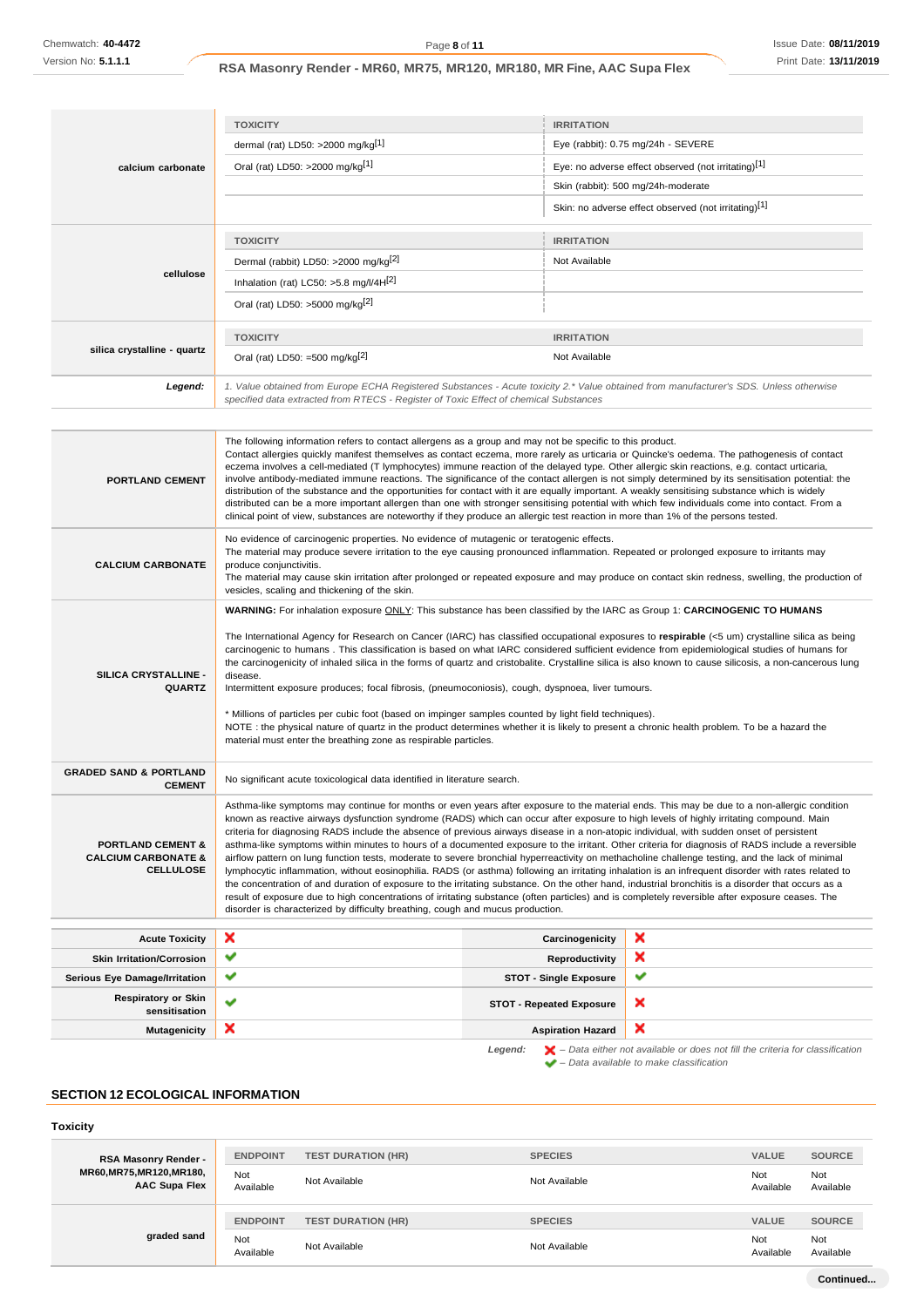|                                                                                    | <b>TOXICITY</b>                                                                                                                                                                                                                                                                                                                                                                                                                                                                                                                                                                                                                                                                                                                                                                                                                                                                                                                                                                                                                                                                                                                                                                                                                                                                             | <b>IRRITATION</b>                                    |  |  |  |
|------------------------------------------------------------------------------------|---------------------------------------------------------------------------------------------------------------------------------------------------------------------------------------------------------------------------------------------------------------------------------------------------------------------------------------------------------------------------------------------------------------------------------------------------------------------------------------------------------------------------------------------------------------------------------------------------------------------------------------------------------------------------------------------------------------------------------------------------------------------------------------------------------------------------------------------------------------------------------------------------------------------------------------------------------------------------------------------------------------------------------------------------------------------------------------------------------------------------------------------------------------------------------------------------------------------------------------------------------------------------------------------|------------------------------------------------------|--|--|--|
|                                                                                    | dermal (rat) LD50: >2000 mg/kg <sup>[1]</sup>                                                                                                                                                                                                                                                                                                                                                                                                                                                                                                                                                                                                                                                                                                                                                                                                                                                                                                                                                                                                                                                                                                                                                                                                                                               | Eye (rabbit): 0.75 mg/24h - SEVERE                   |  |  |  |
|                                                                                    | Oral (rat) LD50: >2000 mg/kg <sup>[1]</sup>                                                                                                                                                                                                                                                                                                                                                                                                                                                                                                                                                                                                                                                                                                                                                                                                                                                                                                                                                                                                                                                                                                                                                                                                                                                 | Eye: no adverse effect observed (not irritating)[1]  |  |  |  |
| calcium carbonate                                                                  |                                                                                                                                                                                                                                                                                                                                                                                                                                                                                                                                                                                                                                                                                                                                                                                                                                                                                                                                                                                                                                                                                                                                                                                                                                                                                             | Skin (rabbit): 500 mg/24h-moderate                   |  |  |  |
|                                                                                    |                                                                                                                                                                                                                                                                                                                                                                                                                                                                                                                                                                                                                                                                                                                                                                                                                                                                                                                                                                                                                                                                                                                                                                                                                                                                                             | Skin: no adverse effect observed (not irritating)[1] |  |  |  |
|                                                                                    | <b>TOXICITY</b>                                                                                                                                                                                                                                                                                                                                                                                                                                                                                                                                                                                                                                                                                                                                                                                                                                                                                                                                                                                                                                                                                                                                                                                                                                                                             | <b>IRRITATION</b>                                    |  |  |  |
|                                                                                    | Dermal (rabbit) LD50: >2000 mg/kg <sup>[2]</sup>                                                                                                                                                                                                                                                                                                                                                                                                                                                                                                                                                                                                                                                                                                                                                                                                                                                                                                                                                                                                                                                                                                                                                                                                                                            | Not Available                                        |  |  |  |
| cellulose                                                                          | Inhalation (rat) LC50: $>5.8$ mg/l/4H $^{2}$                                                                                                                                                                                                                                                                                                                                                                                                                                                                                                                                                                                                                                                                                                                                                                                                                                                                                                                                                                                                                                                                                                                                                                                                                                                |                                                      |  |  |  |
|                                                                                    | Oral (rat) LD50: >5000 mg/kg <sup>[2]</sup>                                                                                                                                                                                                                                                                                                                                                                                                                                                                                                                                                                                                                                                                                                                                                                                                                                                                                                                                                                                                                                                                                                                                                                                                                                                 |                                                      |  |  |  |
|                                                                                    | <b>TOXICITY</b>                                                                                                                                                                                                                                                                                                                                                                                                                                                                                                                                                                                                                                                                                                                                                                                                                                                                                                                                                                                                                                                                                                                                                                                                                                                                             | <b>IRRITATION</b>                                    |  |  |  |
| silica crystalline - quartz                                                        | Oral (rat) LD50: =500 mg/kg $[2]$                                                                                                                                                                                                                                                                                                                                                                                                                                                                                                                                                                                                                                                                                                                                                                                                                                                                                                                                                                                                                                                                                                                                                                                                                                                           | Not Available                                        |  |  |  |
| Legend:                                                                            | 1. Value obtained from Europe ECHA Registered Substances - Acute toxicity 2.* Value obtained from manufacturer's SDS. Unless otherwise<br>specified data extracted from RTECS - Register of Toxic Effect of chemical Substances                                                                                                                                                                                                                                                                                                                                                                                                                                                                                                                                                                                                                                                                                                                                                                                                                                                                                                                                                                                                                                                             |                                                      |  |  |  |
|                                                                                    |                                                                                                                                                                                                                                                                                                                                                                                                                                                                                                                                                                                                                                                                                                                                                                                                                                                                                                                                                                                                                                                                                                                                                                                                                                                                                             |                                                      |  |  |  |
| <b>PORTLAND CEMENT</b>                                                             | The following information refers to contact allergens as a group and may not be specific to this product.<br>Contact allergies quickly manifest themselves as contact eczema, more rarely as urticaria or Quincke's oedema. The pathogenesis of contact<br>eczema involves a cell-mediated (T lymphocytes) immune reaction of the delayed type. Other allergic skin reactions, e.g. contact urticaria,<br>involve antibody-mediated immune reactions. The significance of the contact allergen is not simply determined by its sensitisation potential: the<br>distribution of the substance and the opportunities for contact with it are equally important. A weakly sensitising substance which is widely<br>distributed can be a more important allergen than one with stronger sensitising potential with which few individuals come into contact. From a<br>clinical point of view, substances are noteworthy if they produce an allergic test reaction in more than 1% of the persons tested.                                                                                                                                                                                                                                                                                        |                                                      |  |  |  |
| <b>CALCIUM CARBONATE</b>                                                           | No evidence of carcinogenic properties. No evidence of mutagenic or teratogenic effects.<br>The material may produce severe irritation to the eye causing pronounced inflammation. Repeated or prolonged exposure to irritants may<br>produce conjunctivitis.<br>The material may cause skin irritation after prolonged or repeated exposure and may produce on contact skin redness, swelling, the production of<br>vesicles, scaling and thickening of the skin.                                                                                                                                                                                                                                                                                                                                                                                                                                                                                                                                                                                                                                                                                                                                                                                                                          |                                                      |  |  |  |
| SILICA CRYSTALLINE -<br><b>QUARTZ</b>                                              | WARNING: For inhalation exposure ONLY: This substance has been classified by the IARC as Group 1: CARCINOGENIC TO HUMANS<br>The International Agency for Research on Cancer (IARC) has classified occupational exposures to respirable (<5 um) crystalline silica as being<br>carcinogenic to humans. This classification is based on what IARC considered sufficient evidence from epidemiological studies of humans for<br>the carcinogenicity of inhaled silica in the forms of quartz and cristobalite. Crystalline silica is also known to cause silicosis, a non-cancerous lung<br>disease.<br>Intermittent exposure produces; focal fibrosis, (pneumoconiosis), cough, dyspnoea, liver tumours.<br>* Millions of particles per cubic foot (based on impinger samples counted by light field techniques).<br>NOTE: the physical nature of quartz in the product determines whether it is likely to present a chronic health problem. To be a hazard the<br>material must enter the breathing zone as respirable particles.                                                                                                                                                                                                                                                            |                                                      |  |  |  |
| <b>GRADED SAND &amp; PORTLAND</b><br><b>CEMENT</b>                                 | No significant acute toxicological data identified in literature search.                                                                                                                                                                                                                                                                                                                                                                                                                                                                                                                                                                                                                                                                                                                                                                                                                                                                                                                                                                                                                                                                                                                                                                                                                    |                                                      |  |  |  |
| <b>PORTLAND CEMENT &amp;</b><br><b>CALCIUM CARBONATE &amp;</b><br><b>CELLULOSE</b> | Asthma-like symptoms may continue for months or even years after exposure to the material ends. This may be due to a non-allergic condition<br>known as reactive airways dysfunction syndrome (RADS) which can occur after exposure to high levels of highly irritating compound. Main<br>criteria for diagnosing RADS include the absence of previous airways disease in a non-atopic individual, with sudden onset of persistent<br>asthma-like symptoms within minutes to hours of a documented exposure to the irritant. Other criteria for diagnosis of RADS include a reversible<br>airflow pattern on lung function tests, moderate to severe bronchial hyperreactivity on methacholine challenge testing, and the lack of minimal<br>lymphocytic inflammation, without eosinophilia. RADS (or asthma) following an irritating inhalation is an infrequent disorder with rates related to<br>the concentration of and duration of exposure to the irritating substance. On the other hand, industrial bronchitis is a disorder that occurs as a<br>result of exposure due to high concentrations of irritating substance (often particles) and is completely reversible after exposure ceases. The<br>disorder is characterized by difficulty breathing, cough and mucus production. |                                                      |  |  |  |
| <b>Acute Toxicity</b>                                                              | ×                                                                                                                                                                                                                                                                                                                                                                                                                                                                                                                                                                                                                                                                                                                                                                                                                                                                                                                                                                                                                                                                                                                                                                                                                                                                                           | ×<br>Carcinogenicity                                 |  |  |  |
| <b>Skin Irritation/Corrosion</b>                                                   | ✔                                                                                                                                                                                                                                                                                                                                                                                                                                                                                                                                                                                                                                                                                                                                                                                                                                                                                                                                                                                                                                                                                                                                                                                                                                                                                           | ×<br>Reproductivity                                  |  |  |  |
| Serious Eye Damage/Irritation                                                      | ✔                                                                                                                                                                                                                                                                                                                                                                                                                                                                                                                                                                                                                                                                                                                                                                                                                                                                                                                                                                                                                                                                                                                                                                                                                                                                                           | ✔<br><b>STOT - Single Exposure</b>                   |  |  |  |
| <b>Respiratory or Skin</b>                                                         | ✔                                                                                                                                                                                                                                                                                                                                                                                                                                                                                                                                                                                                                                                                                                                                                                                                                                                                                                                                                                                                                                                                                                                                                                                                                                                                                           | ×<br><b>STOT - Repeated Exposure</b>                 |  |  |  |
| sensitisation                                                                      |                                                                                                                                                                                                                                                                                                                                                                                                                                                                                                                                                                                                                                                                                                                                                                                                                                                                                                                                                                                                                                                                                                                                                                                                                                                                                             |                                                      |  |  |  |

# **SECTION 12 ECOLOGICAL INFORMATION**

# **Toxicity**

| <b>RSA Masonry Render -</b><br>MR60, MR75, MR120, MR180,<br><b>AAC Supa Flex</b> | <b>ENDPOINT</b><br>Not<br>Available | <b>TEST DURATION (HR)</b><br>Not Available | <b>SPECIES</b><br>Not Available | <b>VALUE</b><br>Not<br>Available | <b>SOURCE</b><br>Not<br>Available |
|----------------------------------------------------------------------------------|-------------------------------------|--------------------------------------------|---------------------------------|----------------------------------|-----------------------------------|
| graded sand                                                                      | <b>ENDPOINT</b><br>Not              | <b>TEST DURATION (HR)</b>                  | <b>SPECIES</b>                  | <b>VALUE</b><br>Not              | <b>SOURCE</b><br>Not              |
|                                                                                  | Available                           | Not Available                              | Not Available                   | Available                        | Available<br>Continued            |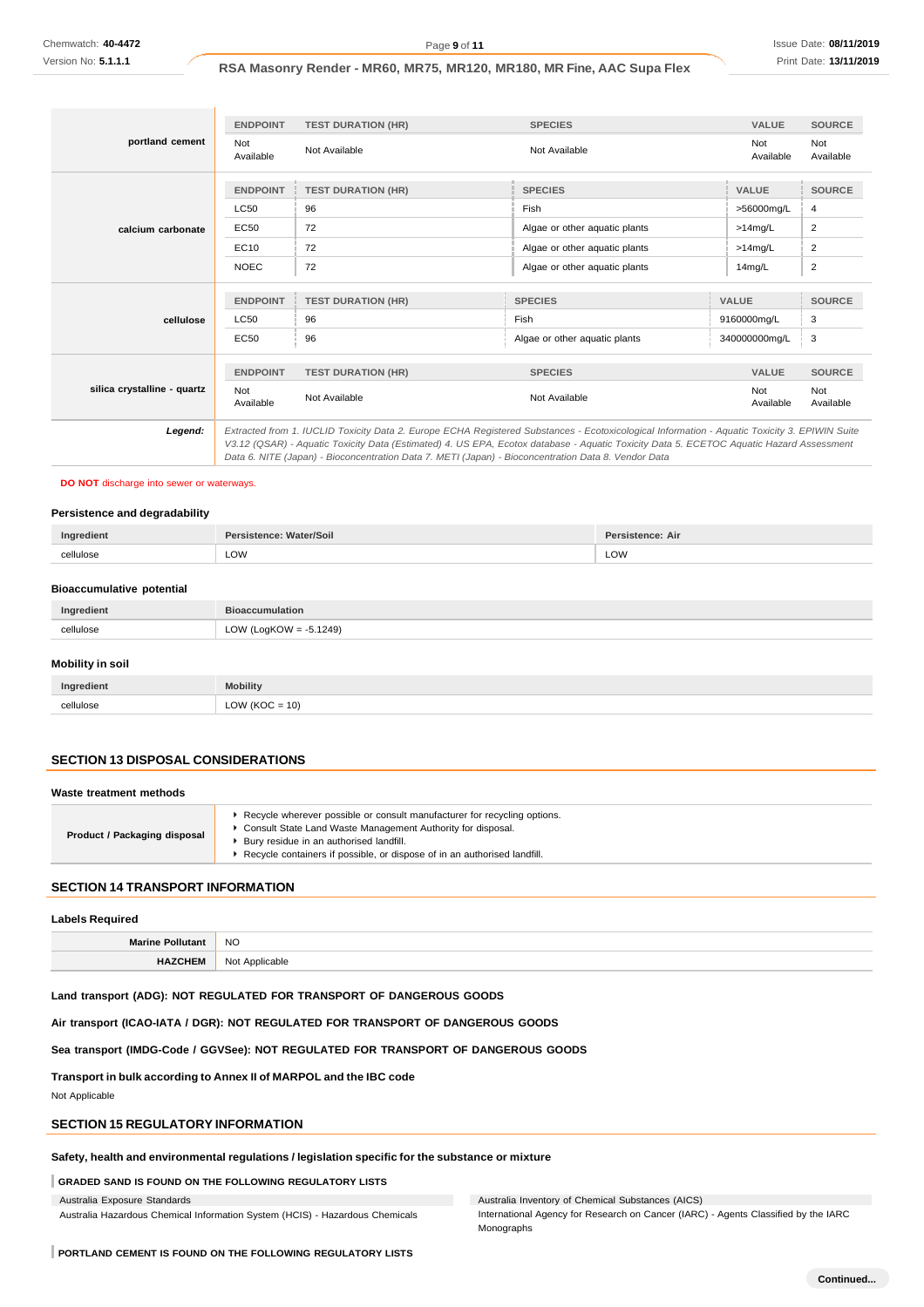|                             | <b>ENDPOINT</b>  | <b>TEST DURATION (HR)</b> | <b>SPECIES</b>                                                                                                                                                                                                                                                                                                                                                                                  | <b>VALUE</b>     | <b>SOURCE</b>    |
|-----------------------------|------------------|---------------------------|-------------------------------------------------------------------------------------------------------------------------------------------------------------------------------------------------------------------------------------------------------------------------------------------------------------------------------------------------------------------------------------------------|------------------|------------------|
| portland cement             | Not<br>Available | Not Available             | Not Available                                                                                                                                                                                                                                                                                                                                                                                   | Not<br>Available | Not<br>Available |
|                             | <b>ENDPOINT</b>  | <b>TEST DURATION (HR)</b> | <b>SPECIES</b>                                                                                                                                                                                                                                                                                                                                                                                  | <b>VALUE</b>     | <b>SOURCE</b>    |
| calcium carbonate           | <b>LC50</b>      | 96                        | Fish                                                                                                                                                                                                                                                                                                                                                                                            | >56000mg/L       | 4                |
|                             | EC50             | 72                        | Algae or other aquatic plants                                                                                                                                                                                                                                                                                                                                                                   | $>14$ mg/L       | $\overline{2}$   |
|                             | EC10             | 72                        | Algae or other aquatic plants                                                                                                                                                                                                                                                                                                                                                                   | $>14$ mg/L       | $\overline{2}$   |
|                             | <b>NOEC</b>      | 72                        | Algae or other aquatic plants                                                                                                                                                                                                                                                                                                                                                                   | 14mg/L           | $\overline{2}$   |
|                             |                  |                           |                                                                                                                                                                                                                                                                                                                                                                                                 |                  |                  |
|                             | <b>ENDPOINT</b>  | <b>TEST DURATION (HR)</b> | <b>SPECIES</b>                                                                                                                                                                                                                                                                                                                                                                                  | <b>VALUE</b>     | <b>SOURCE</b>    |
| cellulose                   | <b>LC50</b>      | 96                        | Fish                                                                                                                                                                                                                                                                                                                                                                                            | 9160000mg/L      | 3                |
|                             | EC50             | 96                        | Algae or other aquatic plants                                                                                                                                                                                                                                                                                                                                                                   | 340000000mg/L    | 3                |
|                             | <b>ENDPOINT</b>  | <b>TEST DURATION (HR)</b> | <b>SPECIES</b>                                                                                                                                                                                                                                                                                                                                                                                  | <b>VALUE</b>     | <b>SOURCE</b>    |
| silica crystalline - quartz | Not<br>Available | Not Available             | Not Available                                                                                                                                                                                                                                                                                                                                                                                   | Not<br>Available | Not<br>Available |
| Legend:                     |                  |                           | Extracted from 1. IUCLID Toxicity Data 2. Europe ECHA Registered Substances - Ecotoxicological Information - Aquatic Toxicity 3. EPIWIN Suite<br>V3.12 (QSAR) - Aquatic Toxicity Data (Estimated) 4. US EPA, Ecotox database - Aquatic Toxicity Data 5. ECETOC Aquatic Hazard Assessment<br>Data 6. NITE (Japan) - Bioconcentration Data 7. METI (Japan) - Bioconcentration Data 8. Vendor Data |                  |                  |

## **DO NOT** discharge into sewer or waterways.

#### **Persistence and degradability**

|            | Dor:<br>etence: Air: | ater/Soil<br><u>Ino</u><br>edient<br>T <sub>1</sub> |
|------------|----------------------|-----------------------------------------------------|
| יטושו<br>. | LOW                  | LOW<br>معصابياا<br>201                              |

#### **Bioaccumulative potential**

| Ingredient     | <b>Bioaccumulation</b>                |
|----------------|---------------------------------------|
| cellulose<br>. | 5.1249)<br>LogKOW<br>LOW ('<br>$= -5$ |

# **Mobility in soil**

| Ingredient | <b>Mobility</b>                         |
|------------|-----------------------------------------|
| cellulose  | 10)<br>∩V<br>$\frac{1}{2}$<br>$      -$ |

# **SECTION 13 DISPOSAL CONSIDERATIONS**

### **Waste treatment methods**

| Product / Packaging disposal | Recycle wherever possible or consult manufacturer for recycling options.<br>Consult State Land Waste Management Authority for disposal.<br>Bury residue in an authorised landfill.<br>Recycle containers if possible, or dispose of in an authorised landfill. |
|------------------------------|----------------------------------------------------------------------------------------------------------------------------------------------------------------------------------------------------------------------------------------------------------------|
|                              |                                                                                                                                                                                                                                                                |

### **SECTION 14 TRANSPORT INFORMATION**

### **Labels Required**

| <b>NO</b>               |
|-------------------------|
| No<br>היה ו<br>.<br>. . |

**Land transport (ADG): NOT REGULATED FOR TRANSPORT OF DANGEROUS GOODS**

**Air transport (ICAO-IATA / DGR): NOT REGULATED FOR TRANSPORT OF DANGEROUS GOODS**

# **Sea transport (IMDG-Code / GGVSee): NOT REGULATED FOR TRANSPORT OF DANGEROUS GOODS**

**Transport in bulk according to Annex II of MARPOL and the IBC code**

Not Applicable

# **SECTION 15 REGULATORY INFORMATION**

**Safety, health and environmental regulations / legislation specific for the substance or mixture**

# **GRADED SAND IS FOUND ON THE FOLLOWING REGULATORY LISTS**

Australia Exposure Standards

Australia Hazardous Chemical Information System (HCIS) - Hazardous Chemicals

Australia Inventory of Chemical Substances (AICS)

International Agency for Research on Cancer (IARC) - Agents Classified by the IARC Monographs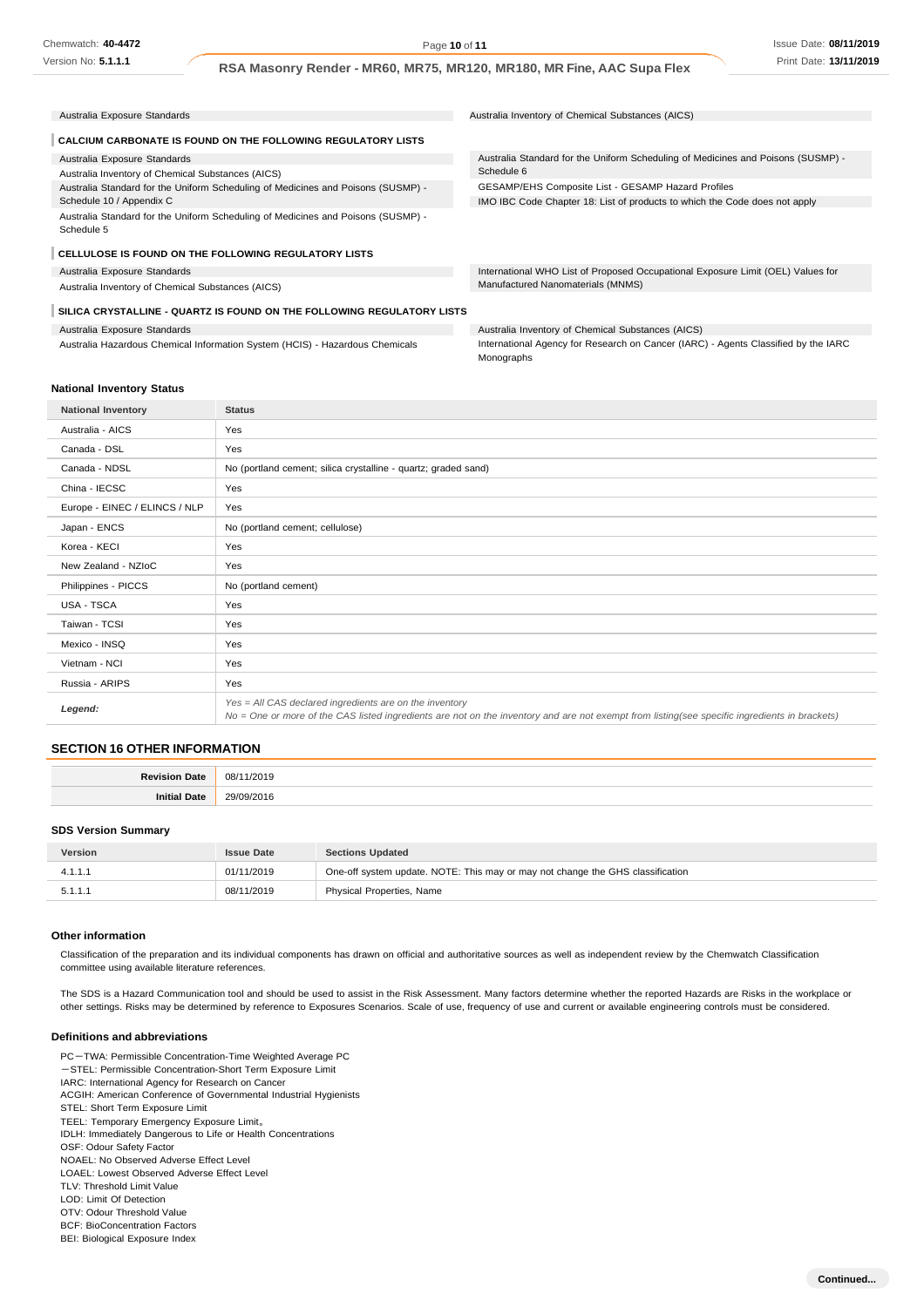**Continued...**

**RSA Masonry Render - MR60, MR75, MR120, MR180, MR Fine, AAC Supa Flex**

| Australia Exposure Standards                                                                   | Australia Inventory of Chemical Substances (AICS)                                |
|------------------------------------------------------------------------------------------------|----------------------------------------------------------------------------------|
| <b>CALCIUM CARBONATE IS FOUND ON THE FOLLOWING REGULATORY LISTS</b>                            |                                                                                  |
| Australia Exposure Standards                                                                   | Australia Standard for the Uniform Scheduling of Medicines and Poisons (SUSMP) - |
| Australia Inventory of Chemical Substances (AICS)                                              | Schedule 6                                                                       |
| Australia Standard for the Uniform Scheduling of Medicines and Poisons (SUSMP) -               | GESAMP/EHS Composite List - GESAMP Hazard Profiles                               |
| Schedule 10 / Appendix C                                                                       | IMO IBC Code Chapter 18: List of products to which the Code does not apply       |
| Australia Standard for the Uniform Scheduling of Medicines and Poisons (SUSMP) -<br>Schedule 5 |                                                                                  |
| <b>CELLULOSE IS FOUND ON THE FOLLOWING REGULATORY LISTS</b>                                    |                                                                                  |
| Australia Exposure Standards                                                                   | International WHO List of Proposed Occupational Exposure Limit (OEL) Values for  |
| Australia Inventory of Chemical Substances (AICS)                                              | Manufactured Nanomaterials (MNMS)                                                |
| SILICA CRYSTALLINE - QUARTZ IS FOUND ON THE FOLLOWING REGULATORY LISTS                         |                                                                                  |
| Australia Exposure Standards                                                                   | Australia Inventory of Chemical Substances (AICS)                                |

Australia Hazardous Chemical Information System (HCIS) - Hazardous Chemicals

International Agency for Research on Cancer (IARC) - Agents Classified by the IARC Monographs

### **National Inventory Status**

| <b>National Inventory</b>     | <b>Status</b>                                                                                                                                                                                            |
|-------------------------------|----------------------------------------------------------------------------------------------------------------------------------------------------------------------------------------------------------|
| Australia - AICS              | Yes                                                                                                                                                                                                      |
| Canada - DSL                  | Yes                                                                                                                                                                                                      |
| Canada - NDSL                 | No (portland cement; silica crystalline - quartz; graded sand)                                                                                                                                           |
| China - IECSC                 | Yes                                                                                                                                                                                                      |
| Europe - EINEC / ELINCS / NLP | Yes                                                                                                                                                                                                      |
| Japan - ENCS                  | No (portland cement; cellulose)                                                                                                                                                                          |
| Korea - KECI                  | Yes                                                                                                                                                                                                      |
| New Zealand - NZIoC           | Yes                                                                                                                                                                                                      |
| Philippines - PICCS           | No (portland cement)                                                                                                                                                                                     |
| USA - TSCA                    | Yes                                                                                                                                                                                                      |
| Taiwan - TCSI                 | Yes                                                                                                                                                                                                      |
| Mexico - INSQ                 | Yes                                                                                                                                                                                                      |
| Vietnam - NCI                 | Yes                                                                                                                                                                                                      |
| Russia - ARIPS                | Yes                                                                                                                                                                                                      |
| Legend:                       | Yes = All CAS declared ingredients are on the inventory<br>No = One or more of the CAS listed ingredients are not on the inventory and are not exempt from listing(see specific ingredients in brackets) |

## **SECTION 16 OTHER INFORMATION**

| о. | n <sub>8</sub><br>∟י∩י<br>. |
|----|-----------------------------|
|    |                             |

#### **SDS Version Summary**

| <b>Version</b> | <b>Issue Date</b> | <b>Sections Updated</b>                                                        |
|----------------|-------------------|--------------------------------------------------------------------------------|
| 4.1.1.1        | 01/11/2019        | One-off system update. NOTE: This may or may not change the GHS classification |
| 5.1.1.1        | 08/11/2019        | Physical Properties, Name                                                      |

#### **Other information**

Classification of the preparation and its individual components has drawn on official and authoritative sources as well as independent review by the Chemwatch Classification committee using available literature references.

The SDS is a Hazard Communication tool and should be used to assist in the Risk Assessment. Many factors determine whether the reported Hazards are Risks in the workplace or other settings. Risks may be determined by reference to Exposures Scenarios. Scale of use, frequency of use and current or available engineering controls must be considered.

### **Definitions and abbreviations**

PC-TWA: Permissible Concentration-Time Weighted Average PC -STEL: Permissible Concentration-Short Term Exposure Limit IARC: International Agency for Research on Cancer ACGIH: American Conference of Governmental Industrial Hygienists STEL: Short Term Exposure Limit TEEL: Temporary Emergency Exposure Limit。 IDLH: Immediately Dangerous to Life or Health Concentrations OSF: Odour Safety Factor NOAEL: No Observed Adverse Effect Level LOAEL: Lowest Observed Adverse Effect Level TLV: Threshold Limit Value LOD: Limit Of Detection OTV: Odour Threshold Value BCF: BioConcentration Factors BEI: Biological Exposure Index